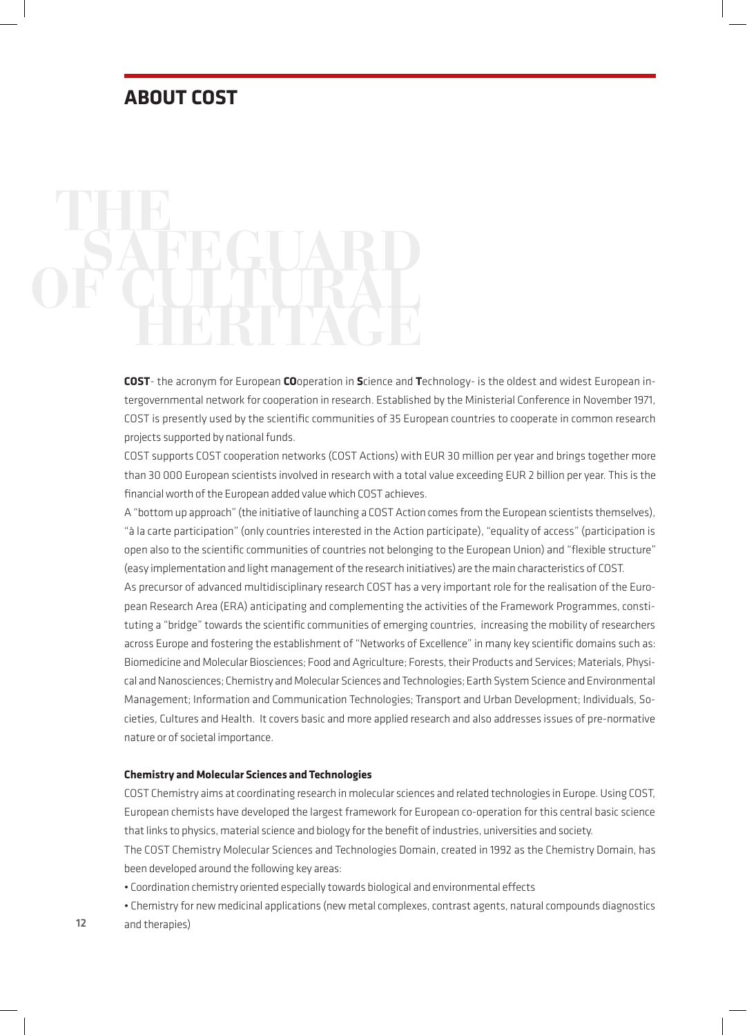# **ABOUT COST**

**COST**- the acronym for European **CO**operation in **S**cience and **T**echnology- is the oldest and widest European intergovernmental network for cooperation in research. Established by the Ministerial Conference in November 1971, COST is presently used by the scientific communities of 35 European countries to cooperate in common research projects supported by national funds.

COST supports COST cooperation networks (COST Actions) with EUR 30 million per year and brings together more than 30 000 European scientists involved in research with a total value exceeding EUR 2 billion per year. This is the financial worth of the European added value which COST achieves.

A "bottom up approach" (the initiative of launching a COST Action comes from the European scientists themselves), "à la carte participation" (only countries interested in the Action participate), "equality of access" (participation is open also to the scientific communities of countries not belonging to the European Union) and "flexible structure" (easy implementation and light management of the research initiatives) are the main characteristics of COST.

As precursor of advanced multidisciplinary research COST has a very important role for the realisation of the European Research Area (ERA) anticipating and complementing the activities of the Framework Programmes, constituting a "bridge" towards the scientific communities of emerging countries, increasing the mobility of researchers across Europe and fostering the establishment of "Networks of Excellence" in many key scientific domains such as: Biomedicine and Molecular Biosciences; Food and Agriculture; Forests, their Products and Services; Materials, Physical and Nanosciences; Chemistry and Molecular Sciences and Technologies; Earth System Science and Environmental Management; Information and Communication Technologies; Transport and Urban Development; Individuals, Societies, Cultures and Health. It covers basic and more applied research and also addresses issues of pre-normative nature or of societal importance.

## **Chemistry and Molecular Sciences and Technologies**

COST Chemistry aims at coordinating research in molecular sciences and related technologies in Europe. Using COST, European chemists have developed the largest framework for European co-operation for this central basic science that links to physics, material science and biology for the benefit of industries, universities and society.

The COST Chemistry Molecular Sciences and Technologies Domain, created in 1992 as the Chemistry Domain, has been developed around the following key areas:

• Coordination chemistry oriented especially towards biological and environmental effects

• Chemistry for new medicinal applications (new metal complexes, contrast agents, natural compounds diagnostics and therapies)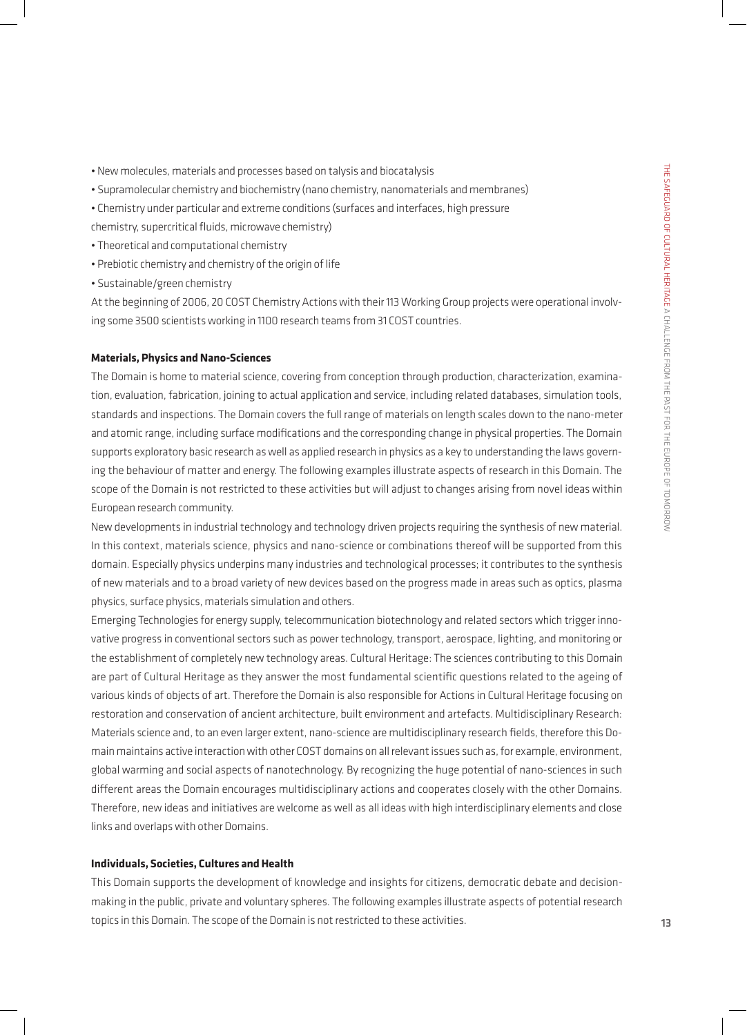- New molecules, materials and processes based on talysis and biocatalysis
- Supramolecular chemistry and biochemistry (nano chemistry, nanomaterials and membranes)
- Chemistry under particular and extreme conditions (surfaces and interfaces, high pressure
- chemistry, supercritical fluids, microwave chemistry)
- Theoretical and computational chemistry
- Prebiotic chemistry and chemistry of the origin of life
- Sustainable/green chemistry

At the beginning of 2006, 20 COST Chemistry Actions with their 113 Working Group projects were operational involving some 3500 scientists working in 1100 research teams from 31 COST countries.

# **Materials, Physics and Nano-Sciences**

The Domain is home to material science, covering from conception through production, characterization, examination, evaluation, fabrication, joining to actual application and service, including related databases, simulation tools, standards and inspections. The Domain covers the full range of materials on length scales down to the nano-meter and atomic range, including surface modifications and the corresponding change in physical properties. The Domain supports exploratory basic research as well as applied research in physics as a key to understanding the laws governing the behaviour of matter and energy. The following examples illustrate aspects of research in this Domain. The scope of the Domain is not restricted to these activities but will adjust to changes arising from novel ideas within European research community.

New developments in industrial technology and technology driven projects requiring the synthesis of new material. In this context, materials science, physics and nano-science or combinations thereof will be supported from this domain. Especially physics underpins many industries and technological processes; it contributes to the synthesis of new materials and to a broad variety of new devices based on the progress made in areas such as optics, plasma physics, surface physics, materials simulation and others.

Emerging Technologies for energy supply, telecommunication biotechnology and related sectors which trigger innovative progress in conventional sectors such as power technology, transport, aerospace, lighting, and monitoring or the establishment of completely new technology areas. Cultural Heritage: The sciences contributing to this Domain are part of Cultural Heritage as they answer the most fundamental scientific questions related to the ageing of various kinds of objects of art. Therefore the Domain is also responsible for Actions in Cultural Heritage focusing on restoration and conservation of ancient architecture, built environment and artefacts. Multidisciplinary Research: Materials science and, to an even larger extent, nano-science are multidisciplinary research fields, therefore this Domain maintains active interaction with other COST domains on all relevant issues such as, for example, environment, global warming and social aspects of nanotechnology. By recognizing the huge potential of nano-sciences in such different areas the Domain encourages multidisciplinary actions and cooperates closely with the other Domains. Therefore, new ideas and initiatives are welcome as well as all ideas with high interdisciplinary elements and close links and overlaps with other Domains.

# **Individuals, Societies, Cultures and Health**

This Domain supports the development of knowledge and insights for citizens, democratic debate and decisionmaking in the public, private and voluntary spheres. The following examples illustrate aspects of potential research topics in this Domain. The scope of the Domain is not restricted to these activities.